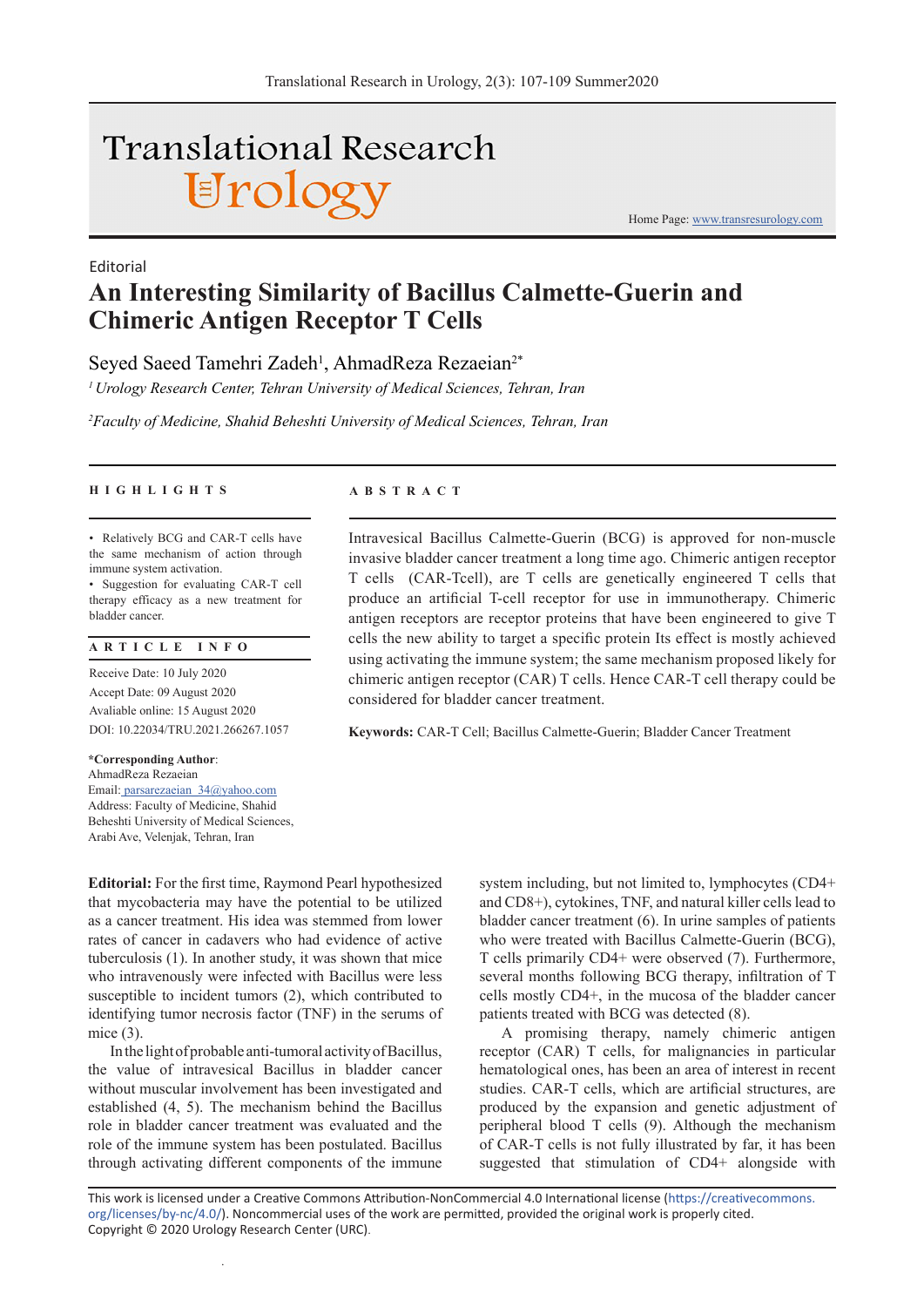# **Translational Research** Urology

Home Page: www.transresurology.com

## **An Interesting Similarity of Bacillus Calmette-Guerin and Chimeric Antigen Receptor T Cells**

Seyed Saeed Tamehri Zadeh<sup>1</sup>, AhmadReza Rezaeian<sup>2\*</sup>

*1 Urology Research Center, Tehran University of Medical Sciences, Tehran, Iran*

*2 Faculty of Medicine, Shahid Beheshti University of Medical Sciences, Tehran, Iran*

#### **HIGHLIGHTS ABSTRACT**

Editorial

• Relatively BCG and CAR-T cells have the same mechanism of action through immune system activation.

• Suggestion for evaluating CAR-T cell therapy efficacy as a new treatment for bladder cancer.

#### **ARTICLE INFO**

Receive Date: 10 July 2020 Accept Date: 09 August 2020 Avaliable online: 15 August 2020 DOI: 10.22034/TRU.2021.266267.1057

**\*Corresponding Author**: AhmadReza Rezaeian Email: parsarezaeian\_34@yahoo.com Address: Faculty of Medicine, Shahid Beheshti University of Medical Sciences, Arabi Ave, Velenjak, Tehran, Iran

.

Intravesical Bacillus Calmette-Guerin (BCG) is approved for non-muscle invasive bladder cancer treatment a long time ago. Chimeric antigen receptor T cells (CAR-Tcell), are T cells are genetically engineered T cells that produce an artificial T-cell receptor for use in immunotherapy. Chimeric antigen receptors are receptor proteins that have been engineered to give T cells the new ability to target a specific protein Its effect is mostly achieved using activating the immune system; the same mechanism proposed likely for chimeric antigen receptor (CAR) T cells. Hence CAR-T cell therapy could be considered for bladder cancer treatment.

**Keywords:** CAR-T Cell; Bacillus Calmette-Guerin; Bladder Cancer Treatment

**Editorial:** For the first time, Raymond Pearl hypothesized that mycobacteria may have the potential to be utilized as a cancer treatment. His idea was stemmed from lower rates of cancer in cadavers who had evidence of active tuberculosis (1). In another study, it was shown that mice who intravenously were infected with Bacillus were less susceptible to incident tumors (2), which contributed to identifying tumor necrosis factor (TNF) in the serums of mice (3).

In the light of probable anti-tumoral activity of Bacillus, the value of intravesical Bacillus in bladder cancer without muscular involvement has been investigated and established (4, 5). The mechanism behind the Bacillus role in bladder cancer treatment was evaluated and the role of the immune system has been postulated. Bacillus through activating different components of the immune system including, but not limited to, lymphocytes (CD4+ and CD8+), cytokines, TNF, and natural killer cells lead to bladder cancer treatment (6). In urine samples of patients who were treated with Bacillus Calmette-Guerin (BCG), T cells primarily CD4+ were observed (7). Furthermore, several months following BCG therapy, infiltration of T cells mostly CD4+, in the mucosa of the bladder cancer patients treated with BCG was detected (8).

A promising therapy, namely chimeric antigen receptor (CAR) T cells, for malignancies in particular hematological ones, has been an area of interest in recent studies. CAR-T cells, which are artificial structures, are produced by the expansion and genetic adjustment of peripheral blood T cells (9). Although the mechanism of CAR-T cells is not fully illustrated by far, it has been suggested that stimulation of CD4+ alongside with

This work is licensed under a Creative Commons Attribution-NonCommercial 4.0 International license (https://creativecommons. org/licenses/by-nc/4.0/). Noncommercial uses of the work are permitted, provided the original work is properly cited. Copyright © 2020 Urology Research Center (URC).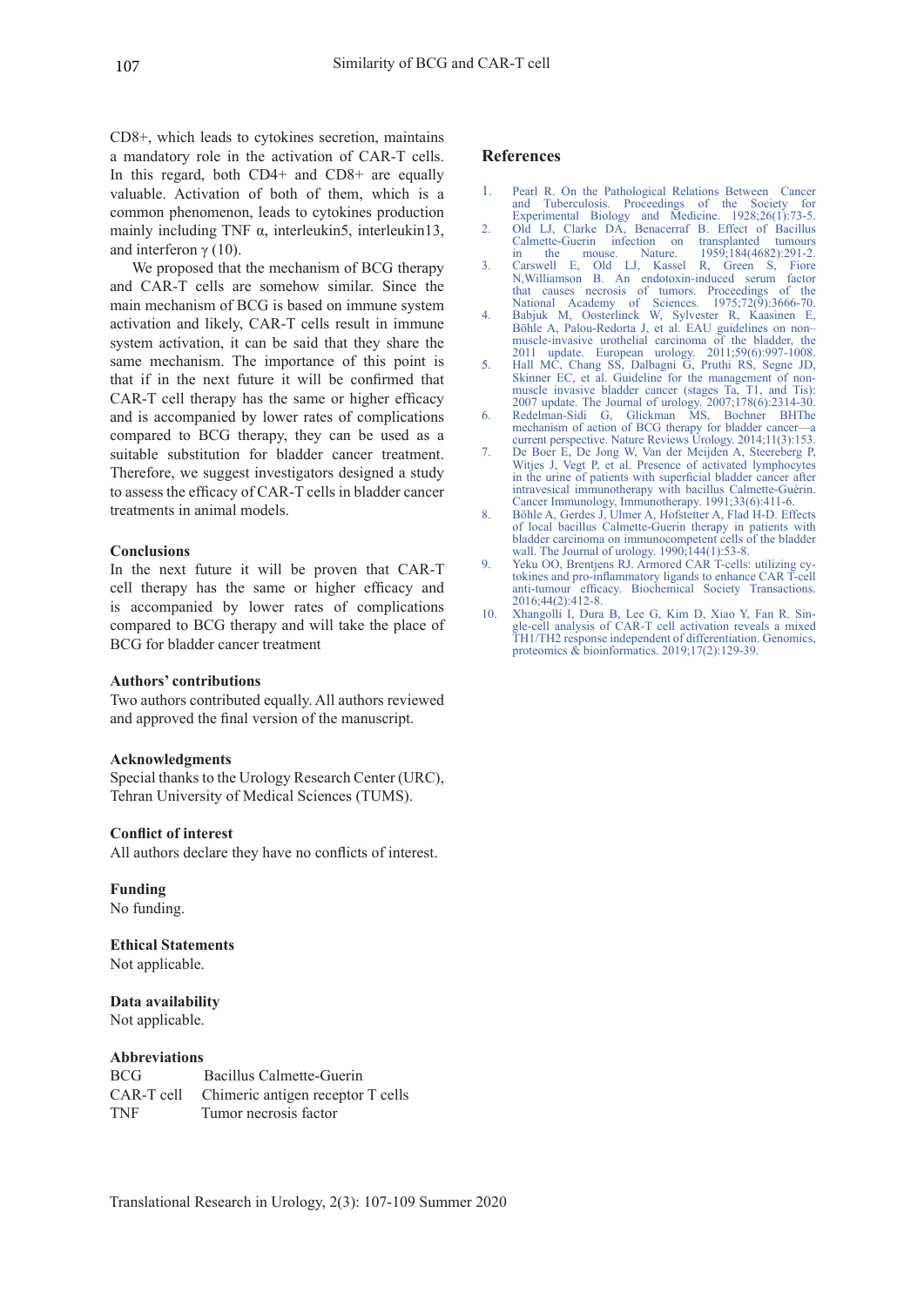CD8+, which leads to cytokines secretion, maintains a mandatory role in the activation of CAR-T cells. In this regard, both CD4+ and CD8+ are equally valuable. Activation of both of them, which is a common phenomenon, leads to cytokines production mainly including TNF  $\alpha$ , interleukin5, interleukin13, and interferon  $γ$  (10).

We proposed that the mechanism of BCG therapy and CAR-T cells are somehow similar. Since the main mechanism of BCG is based on immune system activation and likely, CAR-T cells result in immune system activation, it can be said that they share the same mechanism. The importance of this point is that if in the next future it will be confirmed that CAR-T cell therapy has the same or higher efficacy and is accompanied by lower rates of complications compared to BCG therapy, they can be used as a suitable substitution for bladder cancer treatment. Therefore, we suggest investigators designed a study to assess the efficacy of CAR-T cells in bladder cancer treatments in animal models.

### **Conclusions**

In the next future it will be proven that CAR-T cell therapy has the same or higher efficacy and is accompanied by lower rates of complications compared to BCG therapy and will take the place of BCG for bladder cancer treatment

#### **Authors' contributions**

Two authors contributed equally. All authors reviewed and approved the final version of the manuscript.

#### **Acknowledgments**

Special thanks to the Urology Research Center (URC), Tehran University of Medical Sciences (TUMS).

#### **Conflict of interest**

All authors declare they have no conflicts of interest.

#### **Funding**

No funding.

### **Ethical Statements** Not applicable.

#### **Data availability** Not applicable.

#### **Abbreviations**

BCG Bacillus Calmette-Guerin CAR-T cell Chimeric antigen receptor T cells TNF Tumor necrosis factor

#### **References**

- 1. Pearl R. On the Pathological Relations Between Cancer and Tuberculosis. Proceedings of the Society for Experimental Biology and Medicine. 1928;26(1):73-5.
- 2. Old LJ, Clarke DA, Benacerraf B. Effect of Bacillus Calmette-Guerin infection on transplanted tumours in the mouse. Nature. 1959;184(4682):291-2.
- 3. Carswell E, Old LJ, Kassel R, Green S, Fiore N,Williamson B. An endotoxin-induced serum factor that causes necrosis of tumors. Proceedings National Academy of Sciences. 1975;72(9):3666-70.
- 4. Babjuk M, Oosterlinck W, Sylvester R, Kaasinen E, Böhle A, Palou-Redorta J, et al. EAU guidelines on non– muscle-invasive urothelial carcinoma of the bladder, the 2011 update. European urology. 2011;59(6):997-1008.
- 5. Hall MC, Chang SS, Dalbagni G, Pruthi RS, Segne JD, Skinner EC, et al. Guideline for the management of nonmuscle invasive bladder cancer (stages Ta, T1, and Tis): 2007 update. The Journal of urology. 2007;178(6):2314-30.
- 6. Redelman-Sidi G, Glickman MS, Bochner BHThe mechanism of action of BCG therapy for bladder cancer—a current perspective. Nature Reviews Urology. 2014;11(3):153.
- 7. De Boer E, De Jong W, Van der Meijden A, Steereberg P, Witjes J, Vegt P, et al. Presence of activated lymphocytes in the urine of patients with superficial bladder cancer after intravesical immunotherapy with bacillus Calmette-Guérin. Cancer Immunology, Immunotherapy. 1991;33(6):411-6.
- 8. Böhle A, Gerdes J, Ulmer A, Hofstetter A, Flad H-D. Effects of local bacillus Calmette-Guerin therapy in patients with bladder carcinoma on immunocompetent cells of the bladder wall. The Journal of urology. 1990;144(1):53-8.
- 9. Yeku OO, Brentjens RJ. Armored CAR T-cells: utilizing cytokines and pro-inflammatory ligands to enhance CAR T-cell anti-tumour efficacy. Biochemical Society Transactions. 2016;44(2):412-8.
- 10. Xhangolli I, Dura B, Lee G, Kim D, Xiao Y, Fan R. Single-cell analysis of CAR-T cell activation reveals a mixed TH1/TH2 response independent of differentiation. Genomics, proteomics & bioinformatics. 2019;17(2):129-39.